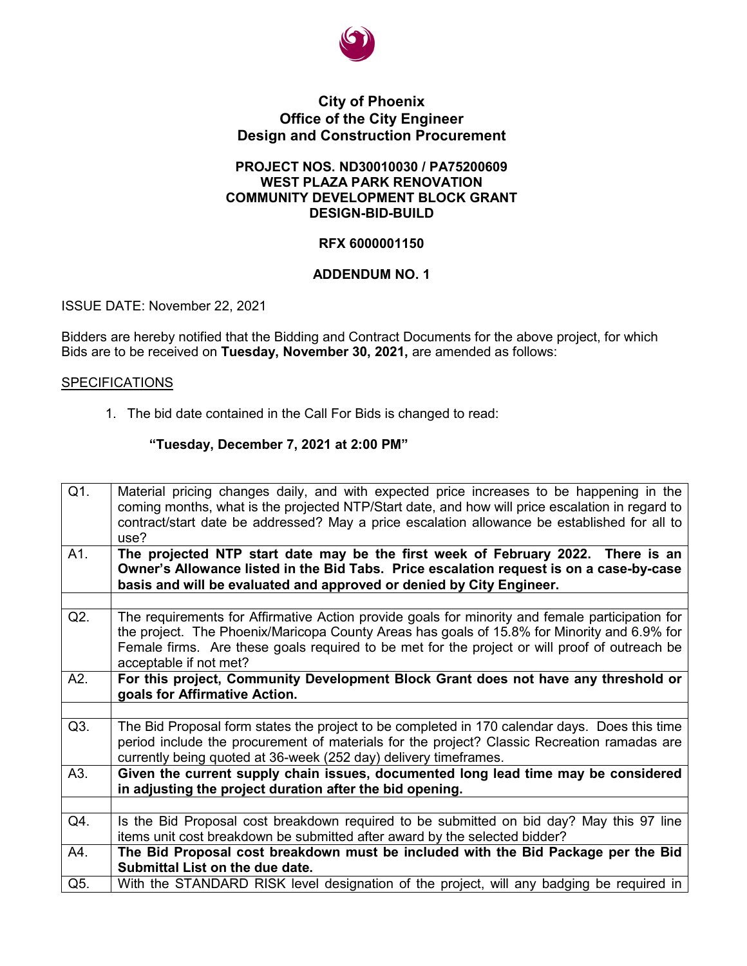

## **City of Phoenix Office of the City Engineer Design and Construction Procurement**

## **PROJECT NOS. ND30010030 / PA75200609 WEST PLAZA PARK RENOVATION COMMUNITY DEVELOPMENT BLOCK GRANT DESIGN-BID-BUILD**

## **RFX 6000001150**

## **ADDENDUM NO. 1**

ISSUE DATE: November 22, 2021

Bidders are hereby notified that the Bidding and Contract Documents for the above project, for which Bids are to be received on **Tuesday, November 30, 2021,** are amended as follows:

## **SPECIFICATIONS**

1. The bid date contained in the Call For Bids is changed to read:

## **"Tuesday, December 7, 2021 at 2:00 PM"**

| Q1. | Material pricing changes daily, and with expected price increases to be happening in the<br>coming months, what is the projected NTP/Start date, and how will price escalation in regard to<br>contract/start date be addressed? May a price escalation allowance be established for all to<br>use?                       |  |  |  |  |  |
|-----|---------------------------------------------------------------------------------------------------------------------------------------------------------------------------------------------------------------------------------------------------------------------------------------------------------------------------|--|--|--|--|--|
| A1. | The projected NTP start date may be the first week of February 2022. There is an<br>Owner's Allowance listed in the Bid Tabs. Price escalation request is on a case-by-case<br>basis and will be evaluated and approved or denied by City Engineer.                                                                       |  |  |  |  |  |
| Q2. | The requirements for Affirmative Action provide goals for minority and female participation for<br>the project. The Phoenix/Maricopa County Areas has goals of 15.8% for Minority and 6.9% for<br>Female firms. Are these goals required to be met for the project or will proof of outreach be<br>acceptable if not met? |  |  |  |  |  |
| A2. | For this project, Community Development Block Grant does not have any threshold or<br>goals for Affirmative Action.                                                                                                                                                                                                       |  |  |  |  |  |
|     |                                                                                                                                                                                                                                                                                                                           |  |  |  |  |  |
| Q3. | The Bid Proposal form states the project to be completed in 170 calendar days. Does this time<br>period include the procurement of materials for the project? Classic Recreation ramadas are<br>currently being quoted at 36-week (252 day) delivery timeframes.                                                          |  |  |  |  |  |
| A3. | Given the current supply chain issues, documented long lead time may be considered<br>in adjusting the project duration after the bid opening.                                                                                                                                                                            |  |  |  |  |  |
|     |                                                                                                                                                                                                                                                                                                                           |  |  |  |  |  |
| Q4. | Is the Bid Proposal cost breakdown required to be submitted on bid day? May this 97 line<br>items unit cost breakdown be submitted after award by the selected bidder?                                                                                                                                                    |  |  |  |  |  |
| A4. | The Bid Proposal cost breakdown must be included with the Bid Package per the Bid<br>Submittal List on the due date.                                                                                                                                                                                                      |  |  |  |  |  |
| Q5. | With the STANDARD RISK level designation of the project, will any badging be required in                                                                                                                                                                                                                                  |  |  |  |  |  |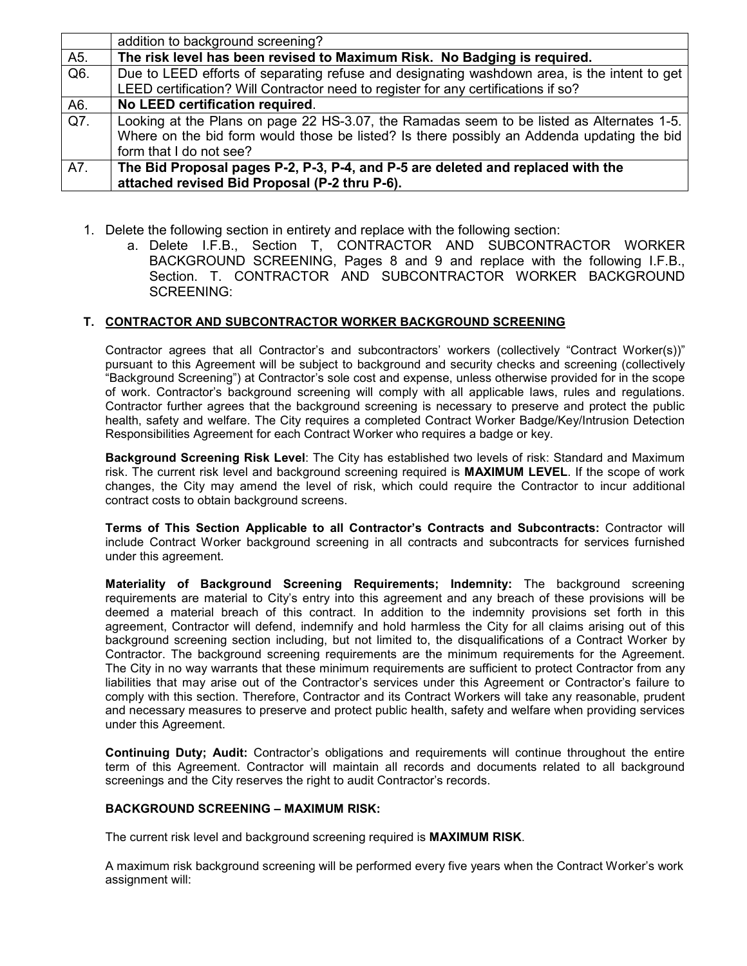|     | addition to background screening?                                                            |  |  |  |  |
|-----|----------------------------------------------------------------------------------------------|--|--|--|--|
| A5. | The risk level has been revised to Maximum Risk. No Badging is required.                     |  |  |  |  |
| Q6. | Due to LEED efforts of separating refuse and designating washdown area, is the intent to get |  |  |  |  |
|     | LEED certification? Will Contractor need to register for any certifications if so?           |  |  |  |  |
| A6. | No LEED certification required.                                                              |  |  |  |  |
| Q7. | Looking at the Plans on page 22 HS-3.07, the Ramadas seem to be listed as Alternates 1-5.    |  |  |  |  |
|     | Where on the bid form would those be listed? Is there possibly an Addenda updating the bid   |  |  |  |  |
|     | form that I do not see?                                                                      |  |  |  |  |
| A7. | The Bid Proposal pages P-2, P-3, P-4, and P-5 are deleted and replaced with the              |  |  |  |  |
|     | attached revised Bid Proposal (P-2 thru P-6).                                                |  |  |  |  |

- 1. Delete the following section in entirety and replace with the following section:
	- a. Delete I.F.B., Section T, CONTRACTOR AND SUBCONTRACTOR WORKER BACKGROUND SCREENING, Pages 8 and 9 and replace with the following I.F.B., Section. T. CONTRACTOR AND SUBCONTRACTOR WORKER BACKGROUND SCREENING:

## **T. CONTRACTOR AND SUBCONTRACTOR WORKER BACKGROUND SCREENING**

Contractor agrees that all Contractor's and subcontractors' workers (collectively "Contract Worker(s))" pursuant to this Agreement will be subject to background and security checks and screening (collectively "Background Screening") at Contractor's sole cost and expense, unless otherwise provided for in the scope of work. Contractor's background screening will comply with all applicable laws, rules and regulations. Contractor further agrees that the background screening is necessary to preserve and protect the public health, safety and welfare. The City requires a completed Contract Worker Badge/Key/Intrusion Detection Responsibilities Agreement for each Contract Worker who requires a badge or key.

**Background Screening Risk Level**: The City has established two levels of risk: Standard and Maximum risk. The current risk level and background screening required is **MAXIMUM LEVEL**. If the scope of work changes, the City may amend the level of risk, which could require the Contractor to incur additional contract costs to obtain background screens.

**Terms of This Section Applicable to all Contractor's Contracts and Subcontracts:** Contractor will include Contract Worker background screening in all contracts and subcontracts for services furnished under this agreement.

**Materiality of Background Screening Requirements; Indemnity:** The background screening requirements are material to City's entry into this agreement and any breach of these provisions will be deemed a material breach of this contract. In addition to the indemnity provisions set forth in this agreement, Contractor will defend, indemnify and hold harmless the City for all claims arising out of this background screening section including, but not limited to, the disqualifications of a Contract Worker by Contractor. The background screening requirements are the minimum requirements for the Agreement. The City in no way warrants that these minimum requirements are sufficient to protect Contractor from any liabilities that may arise out of the Contractor's services under this Agreement or Contractor's failure to comply with this section. Therefore, Contractor and its Contract Workers will take any reasonable, prudent and necessary measures to preserve and protect public health, safety and welfare when providing services under this Agreement.

**Continuing Duty; Audit:** Contractor's obligations and requirements will continue throughout the entire term of this Agreement. Contractor will maintain all records and documents related to all background screenings and the City reserves the right to audit Contractor's records.

### **BACKGROUND SCREENING – MAXIMUM RISK:**

The current risk level and background screening required is **MAXIMUM RISK**.

A maximum risk background screening will be performed every five years when the Contract Worker's work assignment will: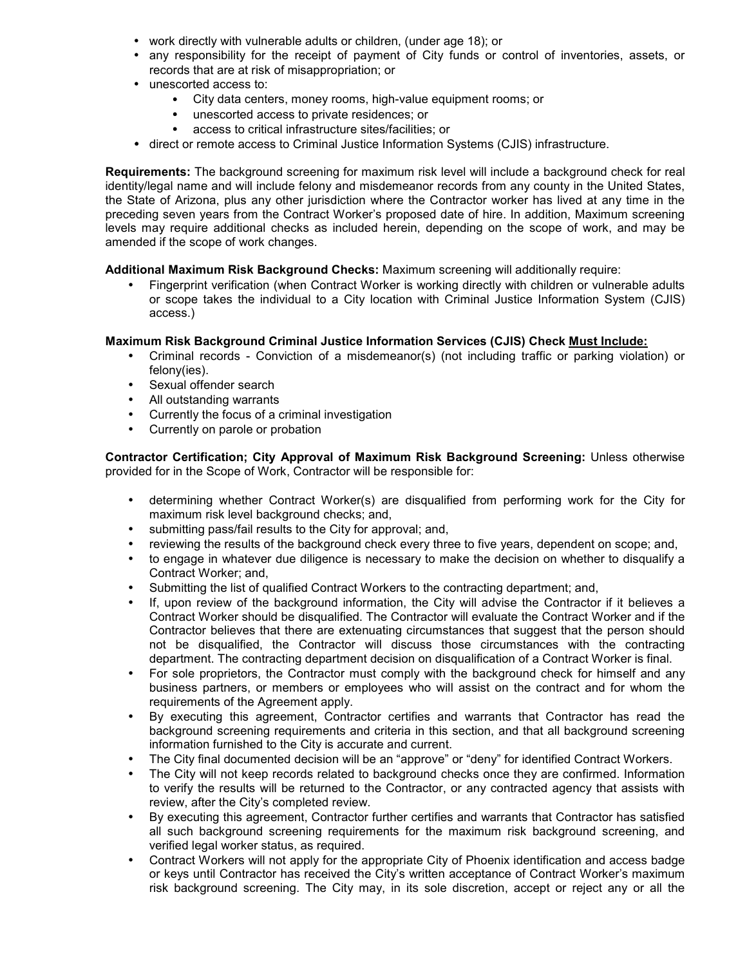- work directly with vulnerable adults or children, (under age 18); or
- any responsibility for the receipt of payment of City funds or control of inventories, assets, or records that are at risk of misappropriation; or
- unescorted access to:
	- City data centers, money rooms, high-value equipment rooms; or
	- unescorted access to private residences; or
	- access to critical infrastructure sites/facilities; or
- direct or remote access to Criminal Justice Information Systems (CJIS) infrastructure.

**Requirements:** The background screening for maximum risk level will include a background check for real identity/legal name and will include felony and misdemeanor records from any county in the United States, the State of Arizona, plus any other jurisdiction where the Contractor worker has lived at any time in the preceding seven years from the Contract Worker's proposed date of hire. In addition, Maximum screening levels may require additional checks as included herein, depending on the scope of work, and may be amended if the scope of work changes.

**Additional Maximum Risk Background Checks:** Maximum screening will additionally require:

• Fingerprint verification (when Contract Worker is working directly with children or vulnerable adults or scope takes the individual to a City location with Criminal Justice Information System (CJIS) access.)

### **Maximum Risk Background Criminal Justice Information Services (CJIS) Check Must Include:**

- Criminal records Conviction of a misdemeanor(s) (not including traffic or parking violation) or felony(ies).
- Sexual offender search
- All outstanding warrants
- Currently the focus of a criminal investigation
- Currently on parole or probation

**Contractor Certification; City Approval of Maximum Risk Background Screening:** Unless otherwise provided for in the Scope of Work, Contractor will be responsible for:

- determining whether Contract Worker(s) are disqualified from performing work for the City for maximum risk level background checks; and,
- submitting pass/fail results to the City for approval; and,
- reviewing the results of the background check every three to five years, dependent on scope; and,
- to engage in whatever due diligence is necessary to make the decision on whether to disqualify a Contract Worker; and,
- Submitting the list of qualified Contract Workers to the contracting department; and,
- If, upon review of the background information, the City will advise the Contractor if it believes a Contract Worker should be disqualified. The Contractor will evaluate the Contract Worker and if the Contractor believes that there are extenuating circumstances that suggest that the person should not be disqualified, the Contractor will discuss those circumstances with the contracting department. The contracting department decision on disqualification of a Contract Worker is final.
- For sole proprietors, the Contractor must comply with the background check for himself and any business partners, or members or employees who will assist on the contract and for whom the requirements of the Agreement apply.
- By executing this agreement, Contractor certifies and warrants that Contractor has read the background screening requirements and criteria in this section, and that all background screening information furnished to the City is accurate and current.
- The City final documented decision will be an "approve" or "deny" for identified Contract Workers.
- The City will not keep records related to background checks once they are confirmed. Information to verify the results will be returned to the Contractor, or any contracted agency that assists with review, after the City's completed review.
- By executing this agreement, Contractor further certifies and warrants that Contractor has satisfied all such background screening requirements for the maximum risk background screening, and verified legal worker status, as required.
- Contract Workers will not apply for the appropriate City of Phoenix identification and access badge or keys until Contractor has received the City's written acceptance of Contract Worker's maximum risk background screening. The City may, in its sole discretion, accept or reject any or all the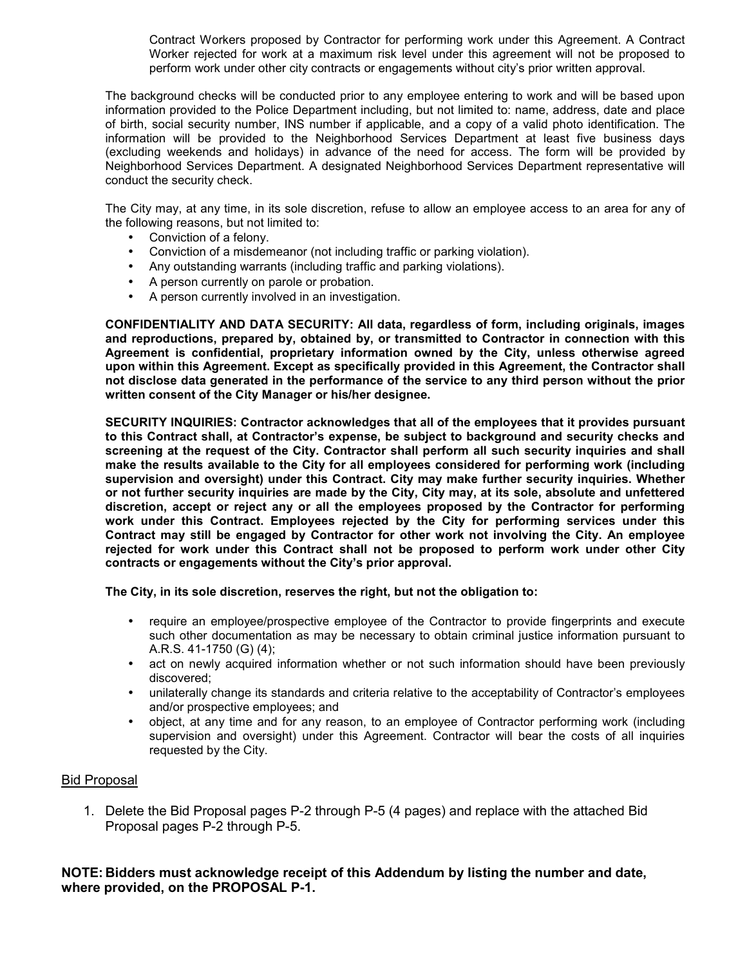Contract Workers proposed by Contractor for performing work under this Agreement. A Contract Worker rejected for work at a maximum risk level under this agreement will not be proposed to perform work under other city contracts or engagements without city's prior written approval.

The background checks will be conducted prior to any employee entering to work and will be based upon information provided to the Police Department including, but not limited to: name, address, date and place of birth, social security number, INS number if applicable, and a copy of a valid photo identification. The information will be provided to the Neighborhood Services Department at least five business days (excluding weekends and holidays) in advance of the need for access. The form will be provided by Neighborhood Services Department. A designated Neighborhood Services Department representative will conduct the security check.

The City may, at any time, in its sole discretion, refuse to allow an employee access to an area for any of the following reasons, but not limited to:

- Conviction of a felony.
- Conviction of a misdemeanor (not including traffic or parking violation).
- Any outstanding warrants (including traffic and parking violations).
- A person currently on parole or probation.
- A person currently involved in an investigation.

**CONFIDENTIALITY AND DATA SECURITY: All data, regardless of form, including originals, images and reproductions, prepared by, obtained by, or transmitted to Contractor in connection with this Agreement is confidential, proprietary information owned by the City, unless otherwise agreed upon within this Agreement. Except as specifically provided in this Agreement, the Contractor shall not disclose data generated in the performance of the service to any third person without the prior written consent of the City Manager or his/her designee.** 

**SECURITY INQUIRIES: Contractor acknowledges that all of the employees that it provides pursuant to this Contract shall, at Contractor's expense, be subject to background and security checks and screening at the request of the City. Contractor shall perform all such security inquiries and shall make the results available to the City for all employees considered for performing work (including supervision and oversight) under this Contract. City may make further security inquiries. Whether or not further security inquiries are made by the City, City may, at its sole, absolute and unfettered discretion, accept or reject any or all the employees proposed by the Contractor for performing work under this Contract. Employees rejected by the City for performing services under this Contract may still be engaged by Contractor for other work not involving the City. An employee rejected for work under this Contract shall not be proposed to perform work under other City contracts or engagements without the City's prior approval.** 

**The City, in its sole discretion, reserves the right, but not the obligation to:** 

- require an employee/prospective employee of the Contractor to provide fingerprints and execute such other documentation as may be necessary to obtain criminal justice information pursuant to A.R.S. 41-1750 (G) (4);
- act on newly acquired information whether or not such information should have been previously discovered;
- unilaterally change its standards and criteria relative to the acceptability of Contractor's employees and/or prospective employees; and
- object, at any time and for any reason, to an employee of Contractor performing work (including supervision and oversight) under this Agreement. Contractor will bear the costs of all inquiries requested by the City.

## Bid Proposal

1. Delete the Bid Proposal pages P-2 through P-5 (4 pages) and replace with the attached Bid Proposal pages P-2 through P-5.

## **NOTE: Bidders must acknowledge receipt of this Addendum by listing the number and date, where provided, on the PROPOSAL P-1.**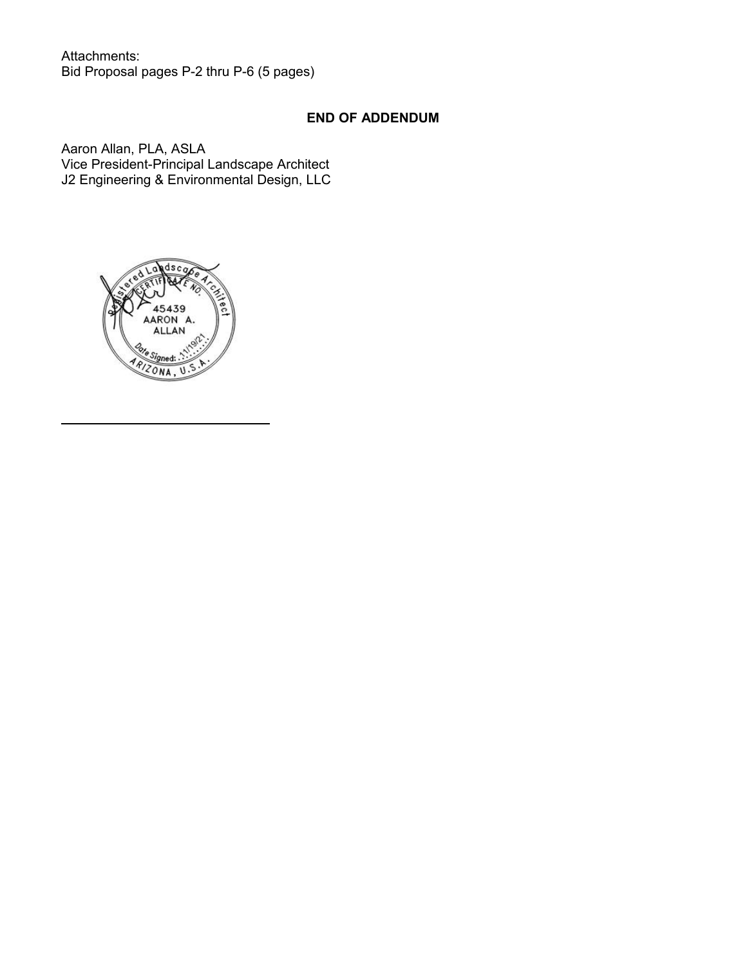Attachments: Bid Proposal pages P-2 thru P-6 (5 pages)

# **END OF ADDENDUM**

Aaron Allan, PLA, ASLA Vice President-Principal Landscape Architect J2 Engineering & Environmental Design, LLC

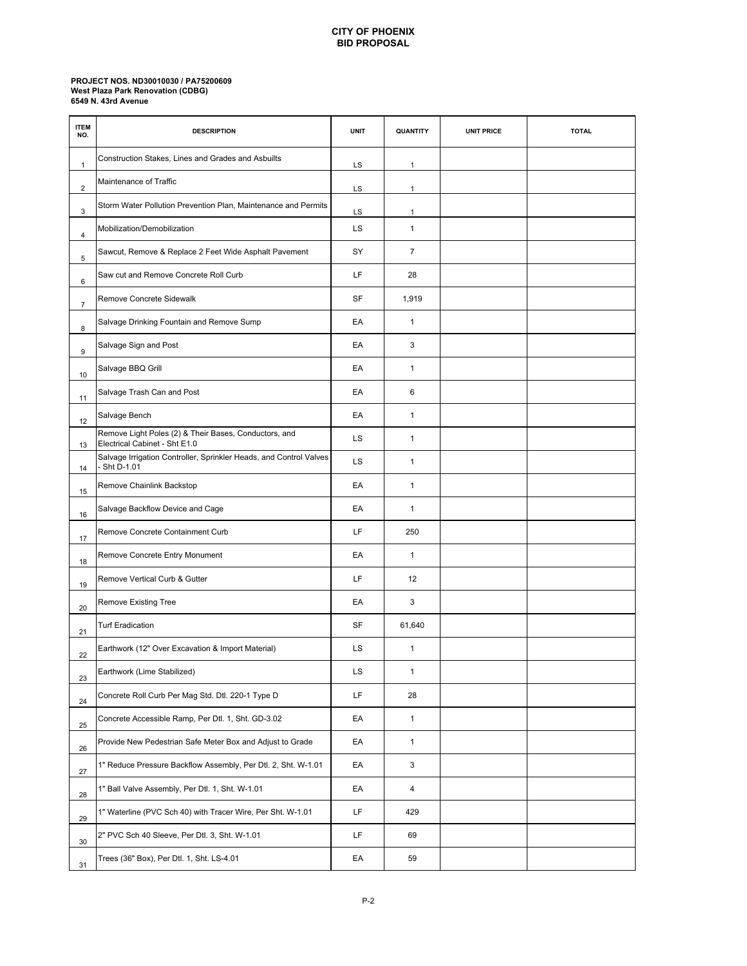### **CITY OF PHOENIX BID PROPOSAL**

#### **PROJECT NOS. ND30010030 / PA75200609 6549 N. 43rd Avenue West Plaza Park Renovation (CDBG)**

| <b>ITEM</b><br>NO. | <b>DESCRIPTION</b>                                                                     | <b>UNIT</b> | QUANTITY                | <b>UNIT PRICE</b> | <b>TOTAL</b> |
|--------------------|----------------------------------------------------------------------------------------|-------------|-------------------------|-------------------|--------------|
| 1                  | Construction Stakes, Lines and Grades and Asbuilts                                     | LS          | $\mathbf{1}$            |                   |              |
| $\overline{2}$     | Maintenance of Traffic                                                                 | LS          | $\mathbf{1}$            |                   |              |
| 3                  | Storm Water Pollution Prevention Plan, Maintenance and Permits                         | LS          | $\mathbf{1}$            |                   |              |
| 4                  | Mobilization/Demobilization                                                            | LS          | $\mathbf{1}$            |                   |              |
| 5                  | Sawcut, Remove & Replace 2 Feet Wide Asphalt Pavement                                  | SY          | $\overline{7}$          |                   |              |
| 6                  | Saw cut and Remove Concrete Roll Curb                                                  | LF          | 28                      |                   |              |
| $\overline{7}$     | Remove Concrete Sidewalk                                                               | <b>SF</b>   | 1,919                   |                   |              |
| 8                  | Salvage Drinking Fountain and Remove Sump                                              | EA          | $\mathbf{1}$            |                   |              |
| 9                  | Salvage Sign and Post                                                                  | EA          | 3                       |                   |              |
| 10                 | Salvage BBQ Grill                                                                      | EA          | $\mathbf{1}$            |                   |              |
| 11                 | Salvage Trash Can and Post                                                             | EA          | 6                       |                   |              |
| 12                 | Salvage Bench                                                                          | EA          | $\mathbf{1}$            |                   |              |
| 13                 | Remove Light Poles (2) & Their Bases, Conductors, and<br>Electrical Cabinet - Sht E1.0 | LS          | $\mathbf{1}$            |                   |              |
| 14                 | Salvage Irrigation Controller, Sprinkler Heads, and Control Valves<br>Sht D-1.01       | LS          | $\mathbf{1}$            |                   |              |
| 15                 | Remove Chainlink Backstop                                                              | EA          | $\mathbf{1}$            |                   |              |
| 16                 | Salvage Backflow Device and Cage                                                       | EA          | $\mathbf{1}$            |                   |              |
| 17                 | Remove Concrete Containment Curb                                                       | LF          | 250                     |                   |              |
| 18                 | Remove Concrete Entry Monument                                                         | EA          | $\mathbf{1}$            |                   |              |
| 19                 | Remove Vertical Curb & Gutter                                                          | LF          | 12                      |                   |              |
| 20                 | Remove Existing Tree                                                                   | EA          | 3                       |                   |              |
| 21                 | <b>Turf Eradication</b>                                                                | SF          | 61,640                  |                   |              |
| 22                 | Earthwork (12" Over Excavation & Import Material)                                      | LS          | $\mathbf{1}$            |                   |              |
| 23                 | Earthwork (Lime Stabilized)                                                            | LS          | $\mathbf{1}$            |                   |              |
| 24                 | Concrete Roll Curb Per Mag Std. Dtl. 220-1 Type D                                      | LF          | 28                      |                   |              |
| 25                 | Concrete Accessible Ramp, Per Dtl. 1, Sht. GD-3.02                                     | EA          | $\mathbf{1}$            |                   |              |
| 26                 | Provide New Pedestrian Safe Meter Box and Adjust to Grade                              | EA          | $\mathbf{1}$            |                   |              |
| 27                 | 1" Reduce Pressure Backflow Assembly, Per Dtl. 2, Sht. W-1.01                          | EA          | 3                       |                   |              |
| 28                 | 1" Ball Valve Assembly, Per Dtl. 1, Sht. W-1.01                                        | EA          | $\overline{\mathbf{4}}$ |                   |              |
| 29                 | 1" Waterline (PVC Sch 40) with Tracer Wire, Per Sht. W-1.01                            | LF          | 429                     |                   |              |
| 30                 | 2" PVC Sch 40 Sleeve, Per Dtl. 3, Sht. W-1.01                                          | LF          | 69                      |                   |              |
| 31                 | Trees (36" Box), Per Dtl. 1, Sht. LS-4.01                                              | EA          | 59                      |                   |              |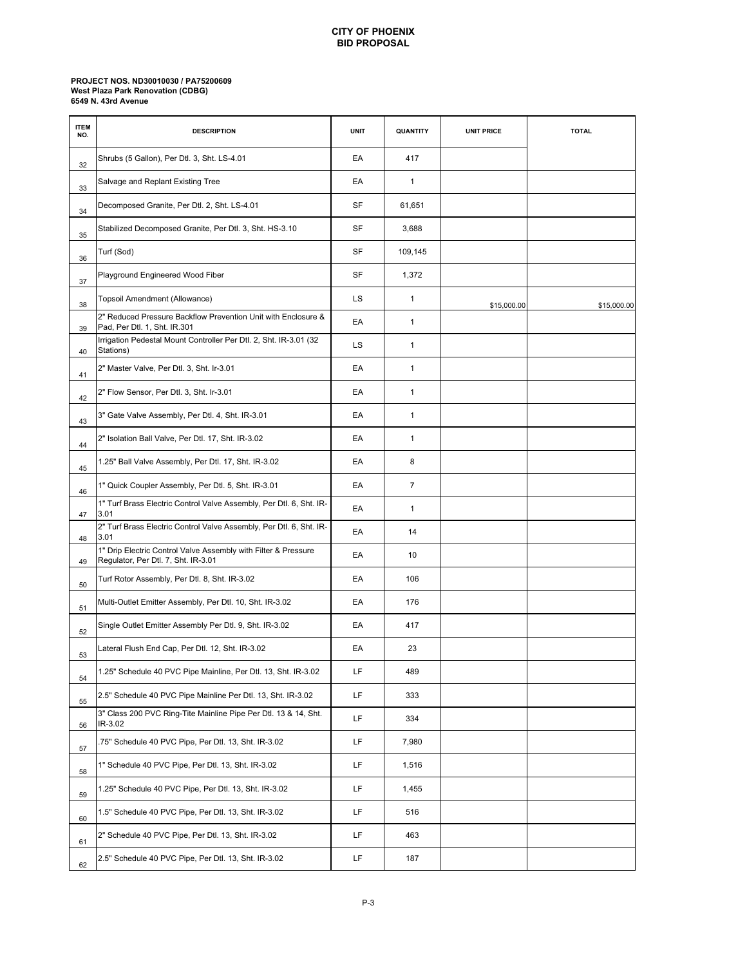### **CITY OF PHOENIX BID PROPOSAL**

#### **PROJECT NOS. ND30010030 / PA75200609 6549 N. 43rd Avenue West Plaza Park Renovation (CDBG)**

| <b>ITEM</b><br>NO. | <b>DESCRIPTION</b>                                                                                    | <b>UNIT</b> | QUANTITY     | <b>UNIT PRICE</b> | <b>TOTAL</b> |
|--------------------|-------------------------------------------------------------------------------------------------------|-------------|--------------|-------------------|--------------|
| 32                 | Shrubs (5 Gallon), Per Dtl. 3, Sht. LS-4.01                                                           | EA          | 417          |                   |              |
| 33                 | Salvage and Replant Existing Tree                                                                     | EA          | $\mathbf{1}$ |                   |              |
| 34                 | Decomposed Granite, Per Dtl. 2, Sht. LS-4.01                                                          | SF          | 61,651       |                   |              |
| 35                 | Stabilized Decomposed Granite, Per Dtl. 3, Sht. HS-3.10                                               | SF          | 3,688        |                   |              |
| 36                 | Turf (Sod)                                                                                            | <b>SF</b>   | 109,145      |                   |              |
| 37                 | Playground Engineered Wood Fiber                                                                      | <b>SF</b>   | 1,372        |                   |              |
| 38                 | Topsoil Amendment (Allowance)                                                                         | LS          | $\mathbf{1}$ | \$15,000.00       | \$15,000.00  |
| 39                 | 2" Reduced Pressure Backflow Prevention Unit with Enclosure &<br>Pad, Per Dtl. 1, Sht. IR.301         | EA          | $\mathbf{1}$ |                   |              |
| 40                 | Irrigation Pedestal Mount Controller Per Dtl. 2, Sht. IR-3.01 (32<br>Stations)                        | LS          | $\mathbf{1}$ |                   |              |
| 41                 | 2" Master Valve, Per Dtl. 3, Sht. Ir-3.01                                                             | EA          | $\mathbf{1}$ |                   |              |
| 42                 | 2" Flow Sensor, Per Dtl. 3, Sht. Ir-3.01                                                              | EA          | $\mathbf{1}$ |                   |              |
| 43                 | 3" Gate Valve Assembly, Per Dtl. 4, Sht. IR-3.01                                                      | EA          | $\mathbf{1}$ |                   |              |
| 44                 | 2" Isolation Ball Valve, Per Dtl. 17, Sht. IR-3.02                                                    | EA          | $\mathbf{1}$ |                   |              |
| 45                 | 1.25" Ball Valve Assembly, Per Dtl. 17, Sht. IR-3.02                                                  | EA          | 8            |                   |              |
| 46                 | 1" Quick Coupler Assembly, Per Dtl. 5, Sht. IR-3.01                                                   | EA          | 7            |                   |              |
| 47                 | 1" Turf Brass Electric Control Valve Assembly, Per Dtl. 6, Sht. IR-<br>3.01                           | EA          | $\mathbf{1}$ |                   |              |
| 48                 | 2" Turf Brass Electric Control Valve Assembly, Per Dtl. 6, Sht. IR-<br>3.01                           | EA          | 14           |                   |              |
| 49                 | 1" Drip Electric Control Valve Assembly with Filter & Pressure<br>Regulator, Per Dtl. 7, Sht. IR-3.01 | EA          | 10           |                   |              |
| 50                 | Turf Rotor Assembly, Per Dtl. 8, Sht. IR-3.02                                                         | EA          | 106          |                   |              |
| 51                 | Multi-Outlet Emitter Assembly, Per Dtl. 10, Sht. IR-3.02                                              | EA          | 176          |                   |              |
| 52                 | Single Outlet Emitter Assembly Per Dtl. 9, Sht. IR-3.02                                               | EA          | 417          |                   |              |
| 53                 | Lateral Flush End Cap, Per Dtl. 12, Sht. IR-3.02                                                      | EA          | 23           |                   |              |
| 54                 | 1.25" Schedule 40 PVC Pipe Mainline, Per Dtl. 13, Sht. IR-3.02                                        | LF          | 489          |                   |              |
| 55                 | 2.5" Schedule 40 PVC Pipe Mainline Per Dtl. 13, Sht. IR-3.02                                          | LF          | 333          |                   |              |
| 56                 | 3" Class 200 PVC Ring-Tite Mainline Pipe Per Dtl. 13 & 14, Sht.<br>IR-3.02                            | LF          | 334          |                   |              |
| 57                 | .75" Schedule 40 PVC Pipe, Per Dtl. 13, Sht. IR-3.02                                                  | LF          | 7,980        |                   |              |
| 58                 | 1" Schedule 40 PVC Pipe, Per Dtl. 13, Sht. IR-3.02                                                    | LF          | 1,516        |                   |              |
| 59                 | 1.25" Schedule 40 PVC Pipe, Per Dtl. 13, Sht. IR-3.02                                                 | LF          | 1,455        |                   |              |
| 60                 | 1.5" Schedule 40 PVC Pipe, Per Dtl. 13, Sht. IR-3.02                                                  | LF          | 516          |                   |              |
| 61                 | 2" Schedule 40 PVC Pipe, Per Dtl. 13, Sht. IR-3.02                                                    | LF          | 463          |                   |              |
| 62                 | 2.5" Schedule 40 PVC Pipe, Per Dtl. 13, Sht. IR-3.02                                                  | LF          | 187          |                   |              |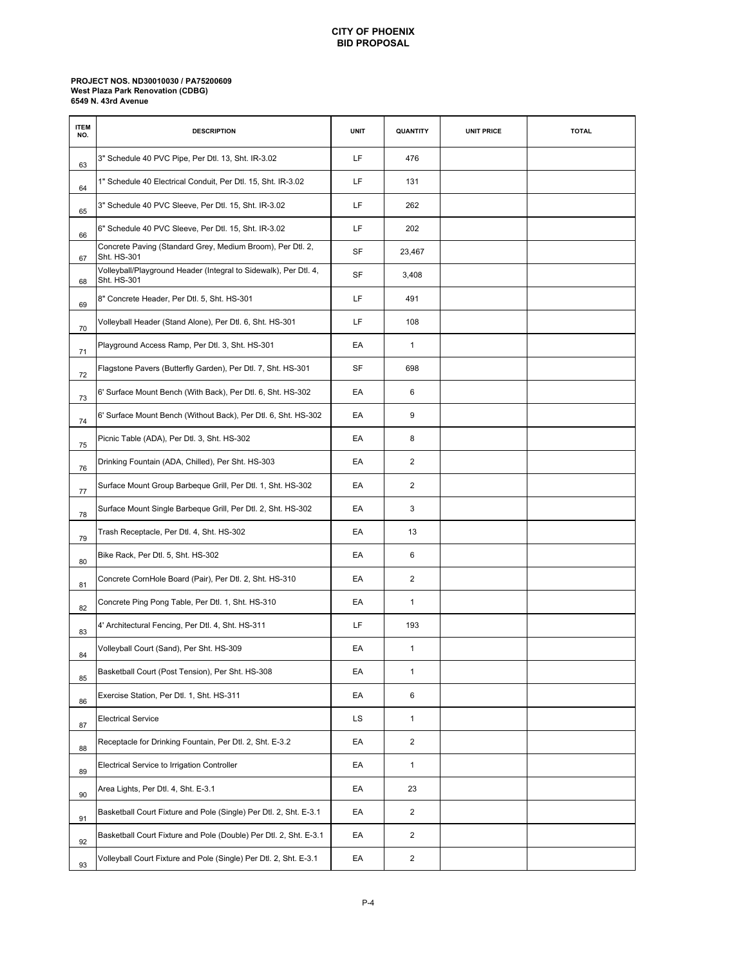### **CITY OF PHOENIX BID PROPOSAL**

#### **PROJECT NOS. ND30010030 / PA75200609 6549 N. 43rd Avenue West Plaza Park Renovation (CDBG)**

| <b>ITEM</b><br>NO. | <b>DESCRIPTION</b>                                                              | <b>UNIT</b> | QUANTITY                | <b>UNIT PRICE</b> | <b>TOTAL</b> |
|--------------------|---------------------------------------------------------------------------------|-------------|-------------------------|-------------------|--------------|
| 63                 | 3" Schedule 40 PVC Pipe, Per Dtl. 13, Sht. IR-3.02                              | LF          | 476                     |                   |              |
| 64                 | 1" Schedule 40 Electrical Conduit, Per Dtl. 15, Sht. IR-3.02                    | LF          | 131                     |                   |              |
| 65                 | 3" Schedule 40 PVC Sleeve, Per Dtl. 15, Sht. IR-3.02                            | LF          | 262                     |                   |              |
| 66                 | 6" Schedule 40 PVC Sleeve, Per Dtl. 15, Sht. IR-3.02                            | LF          | 202                     |                   |              |
| 67                 | Concrete Paving (Standard Grey, Medium Broom), Per Dtl. 2,<br>Sht. HS-301       | SF          | 23,467                  |                   |              |
| 68                 | Volleyball/Playground Header (Integral to Sidewalk), Per Dtl. 4,<br>Sht. HS-301 | <b>SF</b>   | 3,408                   |                   |              |
| 69                 | 8" Concrete Header, Per Dtl. 5, Sht. HS-301                                     | LF          | 491                     |                   |              |
| 70                 | Volleyball Header (Stand Alone), Per Dtl. 6, Sht. HS-301                        | LF          | 108                     |                   |              |
| 71                 | Playground Access Ramp, Per Dtl. 3, Sht. HS-301                                 | EA          | $\mathbf{1}$            |                   |              |
| 72                 | Flagstone Pavers (Butterfly Garden), Per Dtl. 7, Sht. HS-301                    | <b>SF</b>   | 698                     |                   |              |
| 73                 | 6' Surface Mount Bench (With Back), Per Dtl. 6, Sht. HS-302                     | EA          | 6                       |                   |              |
| 74                 | 6' Surface Mount Bench (Without Back), Per Dtl. 6, Sht. HS-302                  | EA          | 9                       |                   |              |
| 75                 | Picnic Table (ADA), Per Dtl. 3, Sht. HS-302                                     | EA          | 8                       |                   |              |
| 76                 | Drinking Fountain (ADA, Chilled), Per Sht. HS-303                               | EA          | $\overline{2}$          |                   |              |
| 77                 | Surface Mount Group Barbeque Grill, Per Dtl. 1, Sht. HS-302                     | EA          | $\overline{2}$          |                   |              |
| 78                 | Surface Mount Single Barbeque Grill, Per Dtl. 2, Sht. HS-302                    | EA          | 3                       |                   |              |
| 79                 | Trash Receptacle, Per Dtl. 4, Sht. HS-302                                       | EA          | 13                      |                   |              |
| 80                 | Bike Rack, Per Dtl. 5, Sht. HS-302                                              | EA          | 6                       |                   |              |
| 81                 | Concrete CornHole Board (Pair), Per Dtl. 2, Sht. HS-310                         | EA          | $\overline{2}$          |                   |              |
| 82                 | Concrete Ping Pong Table, Per Dtl. 1, Sht. HS-310                               | EA          | $\mathbf{1}$            |                   |              |
| 83                 | 4' Architectural Fencing, Per Dtl. 4, Sht. HS-311                               | LF          | 193                     |                   |              |
| 84                 | Volleyball Court (Sand), Per Sht. HS-309                                        | EA          | $\mathbf{1}$            |                   |              |
| 85                 | Basketball Court (Post Tension), Per Sht. HS-308                                | EA          | $\mathbf{1}$            |                   |              |
| 86                 | Exercise Station, Per Dtl. 1, Sht. HS-311                                       | EA          | 6                       |                   |              |
| 87                 | <b>Electrical Service</b>                                                       | LS          | $\mathbf{1}$            |                   |              |
| 88                 | Receptacle for Drinking Fountain, Per Dtl. 2, Sht. E-3.2                        | EA          | $\overline{2}$          |                   |              |
| 89                 | Electrical Service to Irrigation Controller                                     | EA          | $\mathbf{1}$            |                   |              |
| 90                 | Area Lights, Per Dtl. 4, Sht. E-3.1                                             | EA          | 23                      |                   |              |
| 91                 | Basketball Court Fixture and Pole (Single) Per Dtl. 2, Sht. E-3.1               | EA          | $\overline{2}$          |                   |              |
| 92                 | Basketball Court Fixture and Pole (Double) Per Dtl. 2, Sht. E-3.1               | EA          | $\overline{2}$          |                   |              |
| 93                 | Volleyball Court Fixture and Pole (Single) Per Dtl. 2, Sht. E-3.1               | EA          | $\overline{\mathbf{c}}$ |                   |              |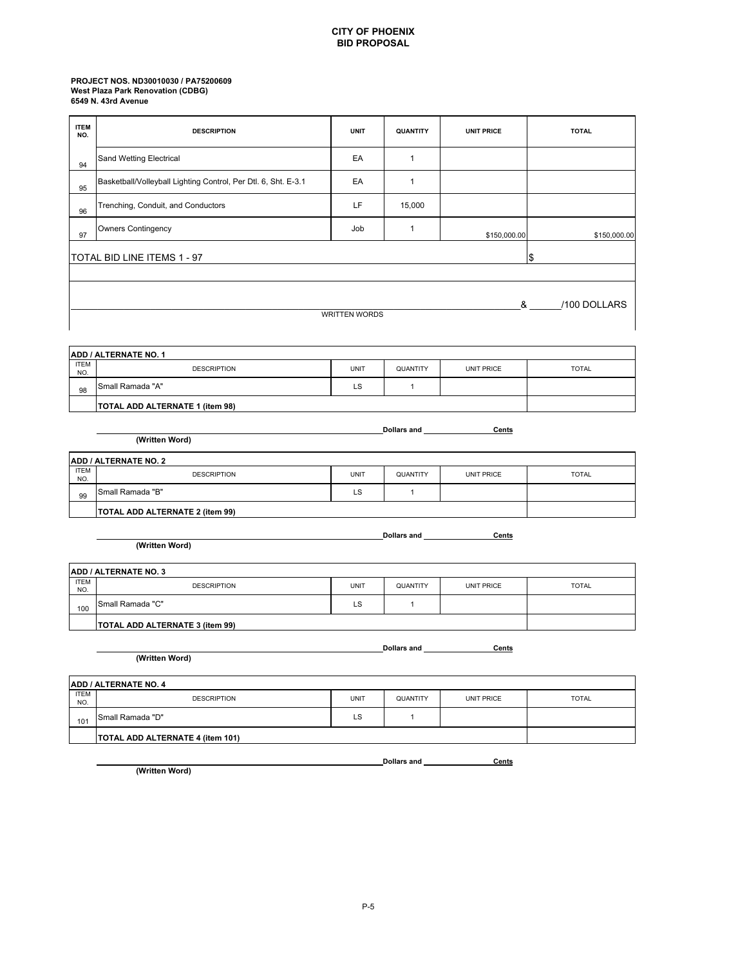### **PROJECT NOS. ND30010030 / PA75200609 6549 N. 43rd Avenue West Plaza Park Renovation (CDBG)**

| <b>ITEM</b>        | <b>DESCRIPTION</b>                                             | <b>UNIT</b>          | QUANTITY                                    | <b>UNIT PRICE</b> | <b>TOTAL</b>                   |  |
|--------------------|----------------------------------------------------------------|----------------------|---------------------------------------------|-------------------|--------------------------------|--|
| NO.                |                                                                |                      |                                             |                   |                                |  |
| 94                 | <b>Sand Wetting Electrical</b>                                 | EA                   | $\mathbf{1}$                                |                   |                                |  |
| 95                 | Basketball/Volleyball Lighting Control, Per Dtl. 6, Sht. E-3.1 | EA                   | $\mathbf{1}$                                |                   |                                |  |
| 96                 | Trenching, Conduit, and Conductors                             | LF                   | 15,000                                      |                   |                                |  |
| 97                 | Owners Contingency                                             | Job                  | $\mathbf{1}$                                | \$150,000.00      | \$150,000.00                   |  |
|                    | TOTAL BID LINE ITEMS 1 - 97                                    |                      |                                             |                   | \$                             |  |
|                    |                                                                |                      |                                             |                   |                                |  |
|                    |                                                                |                      |                                             |                   |                                |  |
|                    |                                                                |                      |                                             |                   | 8 <sub>1</sub><br>/100 DOLLARS |  |
|                    |                                                                | <b>WRITTEN WORDS</b> |                                             |                   |                                |  |
|                    |                                                                |                      |                                             |                   |                                |  |
|                    | ADD / ALTERNATE NO. 1                                          |                      |                                             |                   |                                |  |
| <b>ITEM</b><br>NO. | <b>DESCRIPTION</b>                                             | <b>UNIT</b>          | QUANTITY                                    | <b>UNIT PRICE</b> | <b>TOTAL</b>                   |  |
| 98                 | Small Ramada "A"                                               | <b>LS</b>            | $\mathbf{1}$                                |                   |                                |  |
|                    | TOTAL ADD ALTERNATE 1 (item 98)                                |                      |                                             |                   |                                |  |
|                    |                                                                |                      |                                             |                   |                                |  |
|                    | <b>Dollars and </b><br>Cents<br>(Written Word)                 |                      |                                             |                   |                                |  |
|                    | ADD / ALTERNATE NO. 2                                          |                      |                                             |                   |                                |  |
| <b>ITEM</b><br>NO. | <b>DESCRIPTION</b>                                             | <b>UNIT</b>          | QUANTITY                                    | <b>UNIT PRICE</b> | <b>TOTAL</b>                   |  |
| 99                 | Small Ramada "B"                                               | LS                   | $\mathbf{1}$                                |                   |                                |  |
|                    | TOTAL ADD ALTERNATE 2 (item 99)                                |                      |                                             |                   |                                |  |
|                    |                                                                |                      |                                             |                   |                                |  |
|                    | (Written Word)                                                 |                      | Dollars and <b>Constanting Construction</b> | Cents             |                                |  |
|                    |                                                                |                      |                                             |                   |                                |  |
| <b>ITEM</b>        | ADD / ALTERNATE NO. 3                                          |                      |                                             |                   |                                |  |
| NO.                | <b>DESCRIPTION</b>                                             | <b>UNIT</b>          | QUANTITY                                    | <b>UNIT PRICE</b> | <b>TOTAL</b>                   |  |
| 100                | Small Ramada "C"                                               | LS                   | $\mathbf{1}$                                |                   |                                |  |
|                    | TOTAL ADD ALTERNATE 3 (item 99)                                |                      |                                             |                   |                                |  |

Dollars and Cents

Dollars and <u>Cents</u>

**(Written Word)**

|                    | <b>ADD / ALTERNATE NO. 4</b>            |      |          |                   |              |  |  |
|--------------------|-----------------------------------------|------|----------|-------------------|--------------|--|--|
| <b>ITEM</b><br>NO. | <b>DESCRIPTION</b>                      | UNIT | QUANTITY | <b>UNIT PRICE</b> | <b>TOTAL</b> |  |  |
| 101                | <b>Small Ramada "D"</b>                 | LS   |          |                   |              |  |  |
|                    | <b>TOTAL ADD ALTERNATE 4 (item 101)</b> |      |          |                   |              |  |  |

**(Written Word)**